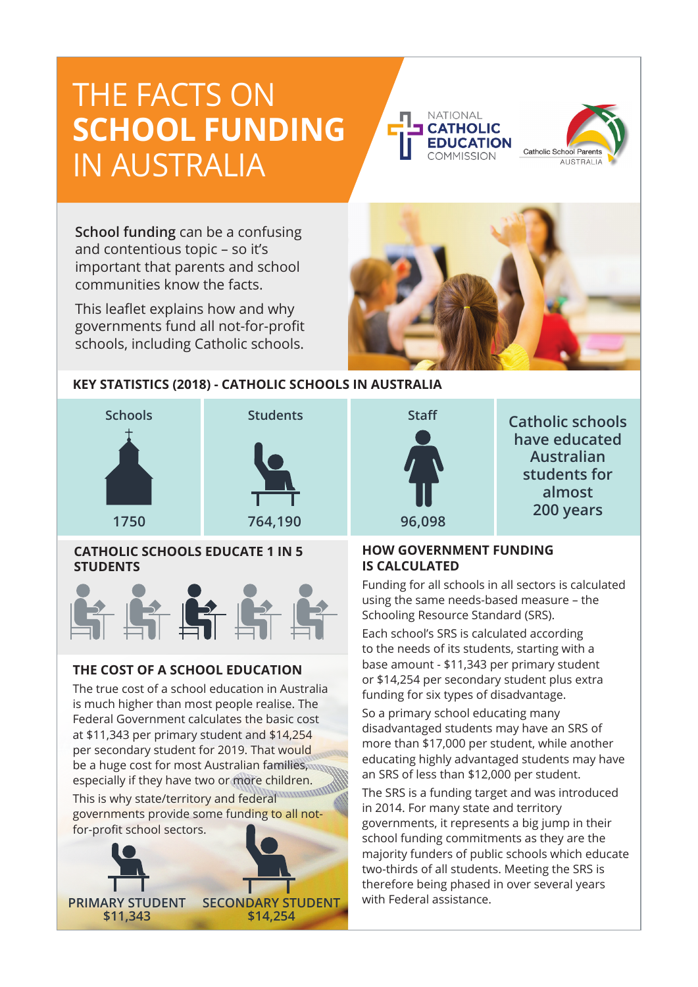# THE FACTS ON **SCHOOL FUNDING**  IN AUSTRALIA





**have educated Australian students for almost** 

**School funding** can be a confusing and contentious topic – so it's important that parents and school communities know the facts.

This leaflet explains how and why governments fund all not-for-profit schools, including Catholic schools.



## **KEY STATISTICS (2018) - CATHOLIC SCHOOLS IN AUSTRALIA**



### **CATHOLIC SCHOOLS EDUCATE 1 IN 5 STUDENTS**



### **THE COST OF A SCHOOL EDUCATION**

The true cost of a school education in Australia is much higher than most people realise. The Federal Government calculates the basic cost at \$11,343 per primary student and \$14,254 per secondary student for 2019. That would be a huge cost for most Australian families, especially if they have two or more children.

This is why state/territory and federal governments provide some funding to all notfor-profit school sectors.





Funding for all schools in all sectors is calculated using the same needs-based measure – the Schooling Resource Standard (SRS).

Each school's SRS is calculated according to the needs of its students, starting with a base amount - \$11,343 per primary student or \$14,254 per secondary student plus extra funding for six types of disadvantage.

So a primary school educating many disadvantaged students may have an SRS of more than \$17,000 per student, while another educating highly advantaged students may have an SRS of less than \$12,000 per student.

The SRS is a funding target and was introduced in 2014. For many state and territory governments, it represents a big jump in their school funding commitments as they are the majority funders of public schools which educate two-thirds of all students. Meeting the SRS is therefore being phased in over several years with Federal assistance.